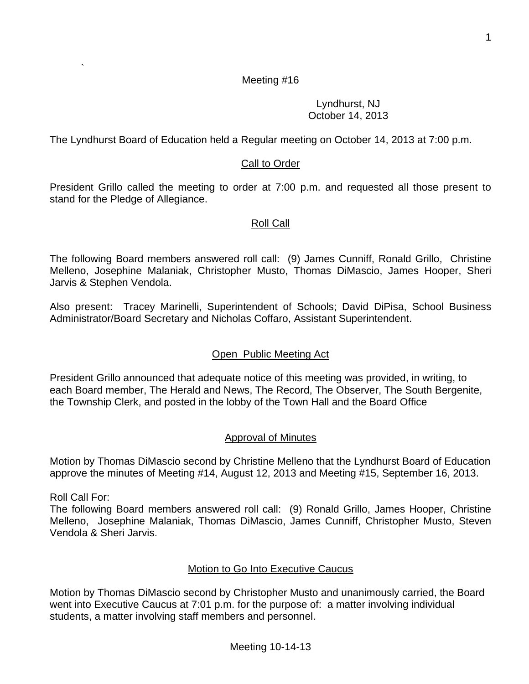### Motion by Thomas DiMascio second by Christopher Musto and unanimously carried, the Board went into Executive Caucus at 7:01 p.m. for the purpose of: a matter involving individual students, a matter involving staff members and personnel.

#### Meeting #16

Lyndhurst, NJ October 14, 2013

The Lyndhurst Board of Education held a Regular meeting on October 14, 2013 at 7:00 p.m.

#### Call to Order

President Grillo called the meeting to order at 7:00 p.m. and requested all those present to stand for the Pledge of Allegiance.

#### Roll Call

The following Board members answered roll call: (9) James Cunniff, Ronald Grillo, Christine Melleno, Josephine Malaniak, Christopher Musto, Thomas DiMascio, James Hooper, Sheri Jarvis & Stephen Vendola.

Also present: Tracey Marinelli, Superintendent of Schools; David DiPisa, School Business Administrator/Board Secretary and Nicholas Coffaro, Assistant Superintendent.

#### Open Public Meeting Act

President Grillo announced that adequate notice of this meeting was provided, in writing, to each Board member, The Herald and News, The Record, The Observer, The South Bergenite, the Township Clerk, and posted in the lobby of the Town Hall and the Board Office

#### Approval of Minutes

Motion by Thomas DiMascio second by Christine Melleno that the Lyndhurst Board of Education approve the minutes of Meeting #14, August 12, 2013 and Meeting #15, September 16, 2013.

Roll Call For:

`

The following Board members answered roll call: (9) Ronald Grillo, James Hooper, Christine Melleno, Josephine Malaniak, Thomas DiMascio, James Cunniff, Christopher Musto, Steven Vendola & Sheri Jarvis.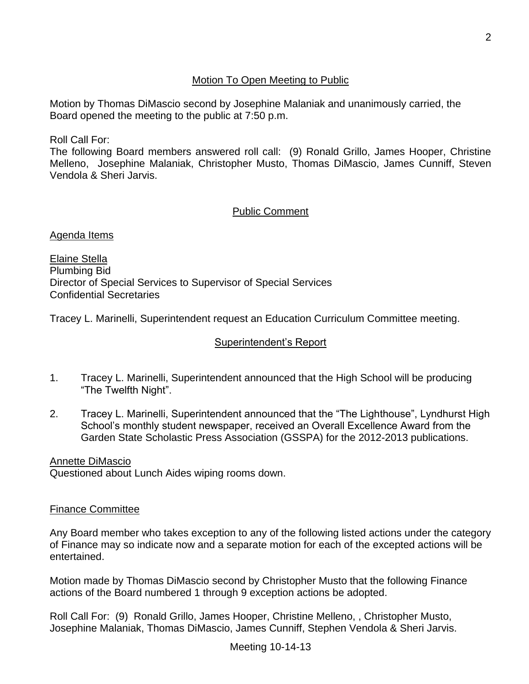## Motion To Open Meeting to Public

Motion by Thomas DiMascio second by Josephine Malaniak and unanimously carried, the Board opened the meeting to the public at 7:50 p.m.

Roll Call For:

The following Board members answered roll call: (9) Ronald Grillo, James Hooper, Christine Melleno, Josephine Malaniak, Christopher Musto, Thomas DiMascio, James Cunniff, Steven Vendola & Sheri Jarvis.

# Public Comment

Agenda Items

Elaine Stella Plumbing Bid Director of Special Services to Supervisor of Special Services Confidential Secretaries

Tracey L. Marinelli, Superintendent request an Education Curriculum Committee meeting.

## Superintendent's Report

- 1. Tracey L. Marinelli, Superintendent announced that the High School will be producing "The Twelfth Night".
- 2. Tracey L. Marinelli, Superintendent announced that the "The Lighthouse", Lyndhurst High School's monthly student newspaper, received an Overall Excellence Award from the Garden State Scholastic Press Association (GSSPA) for the 2012-2013 publications.

Annette DiMascio

Questioned about Lunch Aides wiping rooms down.

### Finance Committee

Any Board member who takes exception to any of the following listed actions under the category of Finance may so indicate now and a separate motion for each of the excepted actions will be entertained.

Motion made by Thomas DiMascio second by Christopher Musto that the following Finance actions of the Board numbered 1 through 9 exception actions be adopted.

Roll Call For: (9) Ronald Grillo, James Hooper, Christine Melleno, , Christopher Musto, Josephine Malaniak, Thomas DiMascio, James Cunniff, Stephen Vendola & Sheri Jarvis.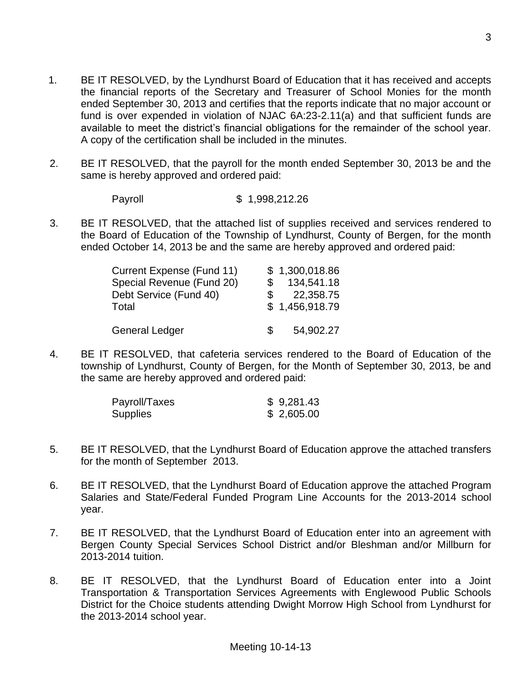- 1. BE IT RESOLVED, by the Lyndhurst Board of Education that it has received and accepts the financial reports of the Secretary and Treasurer of School Monies for the month ended September 30, 2013 and certifies that the reports indicate that no major account or fund is over expended in violation of NJAC 6A:23-2.11(a) and that sufficient funds are available to meet the district's financial obligations for the remainder of the school year. A copy of the certification shall be included in the minutes.
- 2. BE IT RESOLVED, that the payroll for the month ended September 30, 2013 be and the same is hereby approved and ordered paid:
	- Payroll \$ 1,998,212.26
- 3. BE IT RESOLVED, that the attached list of supplies received and services rendered to the Board of Education of the Township of Lyndhurst, County of Bergen, for the month ended October 14, 2013 be and the same are hereby approved and ordered paid:

| Current Expense (Fund 11) | \$1,300,018.86 |
|---------------------------|----------------|
| Special Revenue (Fund 20) | 134,541.18     |
| Debt Service (Fund 40)    | 22,358.75      |
| Total                     | \$1,456,918.79 |
|                           |                |
| <b>General Ledger</b>     | 54,902.27      |

4. BE IT RESOLVED, that cafeteria services rendered to the Board of Education of the township of Lyndhurst, County of Bergen, for the Month of September 30, 2013, be and the same are hereby approved and ordered paid:

| Payroll/Taxes | \$9,281.43 |
|---------------|------------|
| Supplies      | \$2,605.00 |

- 5. BE IT RESOLVED, that the Lyndhurst Board of Education approve the attached transfers for the month of September 2013.
- 6. BE IT RESOLVED, that the Lyndhurst Board of Education approve the attached Program Salaries and State/Federal Funded Program Line Accounts for the 2013-2014 school year.
- 7. BE IT RESOLVED, that the Lyndhurst Board of Education enter into an agreement with Bergen County Special Services School District and/or Bleshman and/or Millburn for 2013-2014 tuition.
- 8. BE IT RESOLVED, that the Lyndhurst Board of Education enter into a Joint Transportation & Transportation Services Agreements with Englewood Public Schools District for the Choice students attending Dwight Morrow High School from Lyndhurst for the 2013-2014 school year.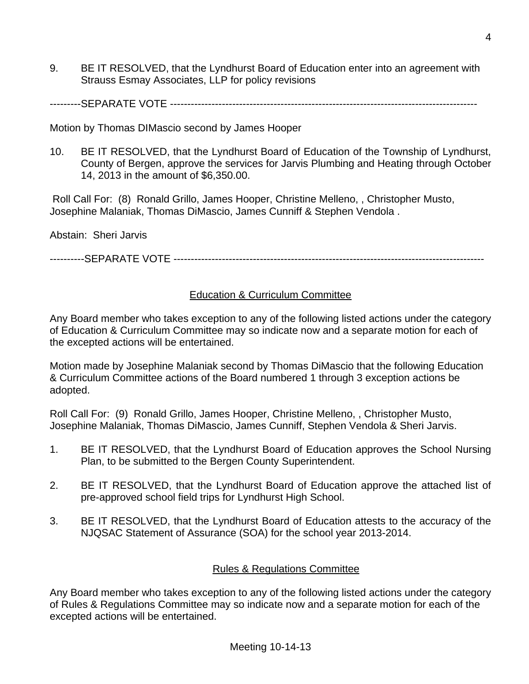9. BE IT RESOLVED, that the Lyndhurst Board of Education enter into an agreement with Strauss Esmay Associates, LLP for policy revisions

---------SEPARATE VOTE -----------------------------------------------------------------------------------------

Motion by Thomas DIMascio second by James Hooper

10. BE IT RESOLVED, that the Lyndhurst Board of Education of the Township of Lyndhurst, County of Bergen, approve the services for Jarvis Plumbing and Heating through October 14, 2013 in the amount of \$6,350.00.

Roll Call For: (8) Ronald Grillo, James Hooper, Christine Melleno, , Christopher Musto, Josephine Malaniak, Thomas DiMascio, James Cunniff & Stephen Vendola .

Abstain: Sheri Jarvis

----------SEPARATE VOTE ------------------------------------------------------------------------------------------

## Education & Curriculum Committee

Any Board member who takes exception to any of the following listed actions under the category of Education & Curriculum Committee may so indicate now and a separate motion for each of the excepted actions will be entertained.

Motion made by Josephine Malaniak second by Thomas DiMascio that the following Education & Curriculum Committee actions of the Board numbered 1 through 3 exception actions be adopted.

Roll Call For: (9) Ronald Grillo, James Hooper, Christine Melleno, , Christopher Musto, Josephine Malaniak, Thomas DiMascio, James Cunniff, Stephen Vendola & Sheri Jarvis.

- 1. BE IT RESOLVED, that the Lyndhurst Board of Education approves the School Nursing Plan, to be submitted to the Bergen County Superintendent.
- 2. BE IT RESOLVED, that the Lyndhurst Board of Education approve the attached list of pre-approved school field trips for Lyndhurst High School.
- 3. BE IT RESOLVED, that the Lyndhurst Board of Education attests to the accuracy of the NJQSAC Statement of Assurance (SOA) for the school year 2013-2014.

## Rules & Regulations Committee

Any Board member who takes exception to any of the following listed actions under the category of Rules & Regulations Committee may so indicate now and a separate motion for each of the excepted actions will be entertained.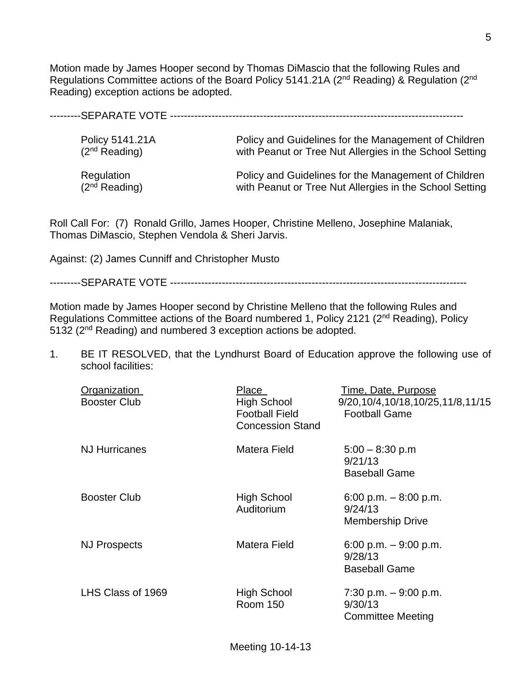Motion made by James Hooper second by Thomas DiMascio that the following Rules and Regulations Committee actions of the Board Policy 5141.21A (2nd Reading) & Regulation (2nd Reading) exception actions be adopted.

---------SEPARATE VOTE -------------------------------------------------------------------------------------

| Policy 5141.21A           | Policy and Guidelines for the Management of Children    |
|---------------------------|---------------------------------------------------------|
| (2 <sup>nd</sup> Reading) | with Peanut or Tree Nut Allergies in the School Setting |
| Regulation                | Policy and Guidelines for the Management of Children    |
| (2 <sup>nd</sup> Reading) | with Peanut or Tree Nut Allergies in the School Setting |

Roll Call For: (7) Ronald Grillo, James Hooper, Christine Melleno, Josephine Malaniak, Thomas DiMascio, Stephen Vendola & Sheri Jarvis.

Against: (2) James Cunniff and Christopher Musto

---------SEPARATE VOTE --------------------------------------------------------------------------------------

Motion made by James Hooper second by Christine Melleno that the following Rules and Regulations Committee actions of the Board numbered 1, Policy 2121 (2<sup>nd</sup> Reading), Policy 5132 (2<sup>nd</sup> Reading) and numbered 3 exception actions be adopted.

1. BE IT RESOLVED, that the Lyndhurst Board of Education approve the following use of school facilities:

| Organization<br><b>Booster Club</b> | Place<br>High School<br><b>Football Field</b><br><b>Concession Stand</b> | Time, Date, Purpose<br>9/20,10/4,10/18,10/25,11/8,11/15<br><b>Football Game</b> |
|-------------------------------------|--------------------------------------------------------------------------|---------------------------------------------------------------------------------|
| <b>NJ Hurricanes</b>                | Matera Field                                                             | $5:00 - 8:30$ p.m<br>9/21/13<br><b>Baseball Game</b>                            |
| <b>Booster Club</b>                 | High School<br>Auditorium                                                | 6:00 p.m. $-8:00$ p.m.<br>9/24/13<br><b>Membership Drive</b>                    |
| <b>NJ Prospects</b>                 | Matera Field                                                             | 6:00 p.m. $-9:00$ p.m.<br>9/28/13<br><b>Baseball Game</b>                       |
| LHS Class of 1969                   | High School<br><b>Room 150</b>                                           | 7:30 p.m. $-9:00$ p.m.<br>9/30/13<br><b>Committee Meeting</b>                   |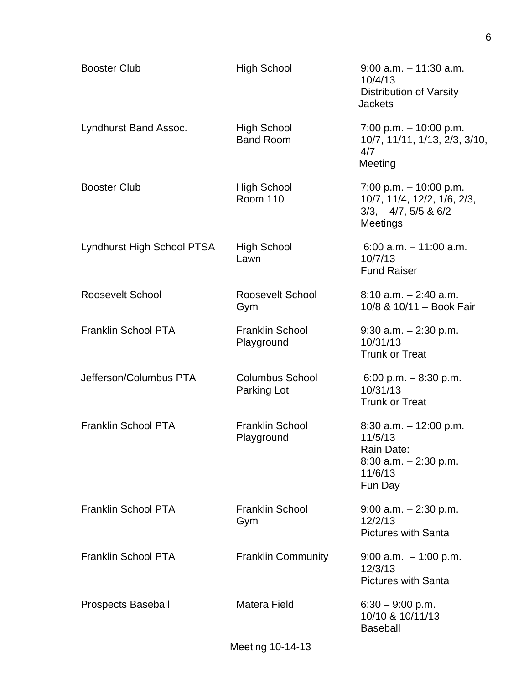| <b>Booster Club</b>        | <b>High School</b>                     | $9:00$ a.m. $-11:30$ a.m.<br>10/4/13<br><b>Distribution of Varsity</b><br><b>Jackets</b>             |
|----------------------------|----------------------------------------|------------------------------------------------------------------------------------------------------|
| Lyndhurst Band Assoc.      | <b>High School</b><br><b>Band Room</b> | $7:00$ p.m. $-10:00$ p.m.<br>10/7, 11/11, 1/13, 2/3, 3/10,<br>4/7<br>Meeting                         |
| <b>Booster Club</b>        | <b>High School</b><br><b>Room 110</b>  | 7:00 p.m. $-$ 10:00 p.m.<br>10/7, 11/4, 12/2, 1/6, 2/3,<br>$3/3$ , $4/7$ , $5/5$ & $6/2$<br>Meetings |
| Lyndhurst High School PTSA | <b>High School</b><br>Lawn             | $6:00$ a.m. $-11:00$ a.m.<br>10/7/13<br><b>Fund Raiser</b>                                           |
| Roosevelt School           | Roosevelt School<br>Gym                | $8:10$ a.m. $-2:40$ a.m.<br>10/8 & 10/11 - Book Fair                                                 |
| <b>Franklin School PTA</b> | <b>Franklin School</b><br>Playground   | $9:30$ a.m. $-2:30$ p.m.<br>10/31/13<br><b>Trunk or Treat</b>                                        |
| Jefferson/Columbus PTA     | <b>Columbus School</b><br>Parking Lot  | 6:00 p.m. $-8:30$ p.m.<br>10/31/13<br><b>Trunk or Treat</b>                                          |
| <b>Franklin School PTA</b> | <b>Franklin School</b><br>Playground   | $8:30$ a.m. $-12:00$ p.m.<br>11/5/13<br>Rain Date:<br>$8:30$ a.m. $-2:30$ p.m.<br>11/6/13<br>Fun Day |
| <b>Franklin School PTA</b> | <b>Franklin School</b><br>Gym          | $9:00$ a.m. $-2:30$ p.m.<br>12/2/13<br><b>Pictures with Santa</b>                                    |
| <b>Franklin School PTA</b> | <b>Franklin Community</b>              | $9:00$ a.m. $-1:00$ p.m.<br>12/3/13<br><b>Pictures with Santa</b>                                    |
| <b>Prospects Baseball</b>  | <b>Matera Field</b>                    | $6:30 - 9:00$ p.m.<br>10/10 & 10/11/13<br><b>Baseball</b>                                            |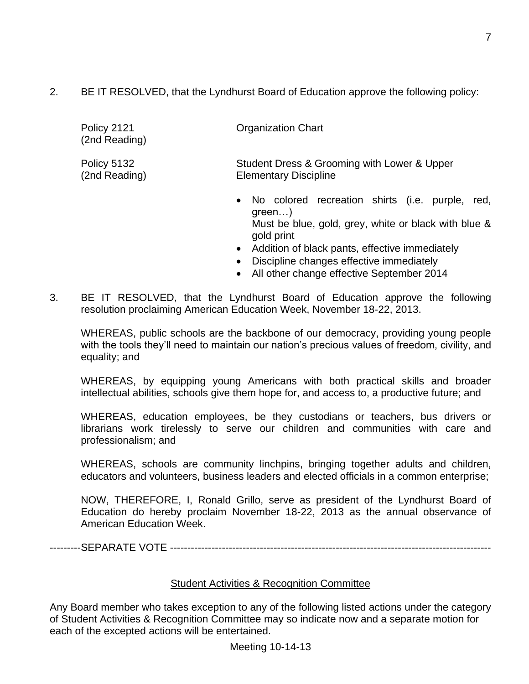2. BE IT RESOLVED, that the Lyndhurst Board of Education approve the following policy:

| Policy 2121<br>(2nd Reading) | <b>Organization Chart</b>                                                   |
|------------------------------|-----------------------------------------------------------------------------|
| Policy 5132<br>(2nd Reading) | Student Dress & Grooming with Lower & Upper<br><b>Elementary Discipline</b> |
|                              | No colored recreation shirts (i.e. purple, red,<br>$\bullet$                |

- green…) Must be blue, gold, grey, white or black with blue & gold print
- Addition of black pants, effective immediately
- Discipline changes effective immediately
- All other change effective September 2014
- 3. BE IT RESOLVED, that the Lyndhurst Board of Education approve the following resolution proclaiming American Education Week, November 18-22, 2013.

WHEREAS, public schools are the backbone of our democracy, providing young people with the tools they'll need to maintain our nation's precious values of freedom, civility, and equality; and

WHEREAS, by equipping young Americans with both practical skills and broader intellectual abilities, schools give them hope for, and access to, a productive future; and

WHEREAS, education employees, be they custodians or teachers, bus drivers or librarians work tirelessly to serve our children and communities with care and professionalism; and

WHEREAS, schools are community linchpins, bringing together adults and children, educators and volunteers, business leaders and elected officials in a common enterprise;

NOW, THEREFORE, I, Ronald Grillo, serve as president of the Lyndhurst Board of Education do hereby proclaim November 18-22, 2013 as the annual observance of American Education Week.

---------SEPARATE VOTE ---------------------------------------------------------------------------------------------

## Student Activities & Recognition Committee

Any Board member who takes exception to any of the following listed actions under the category of Student Activities & Recognition Committee may so indicate now and a separate motion for each of the excepted actions will be entertained.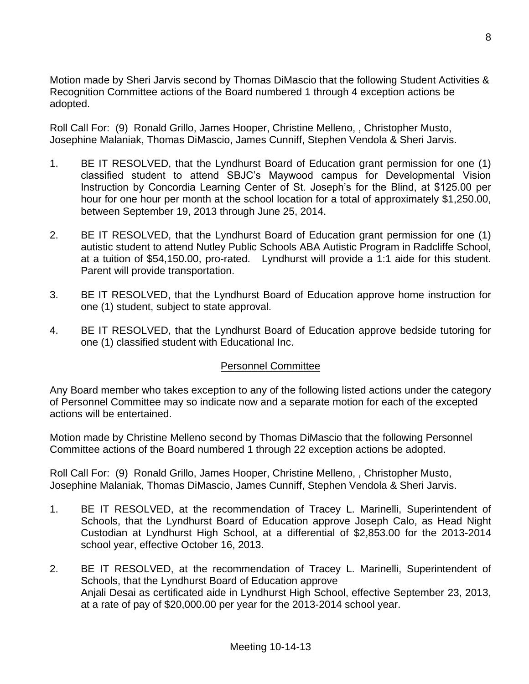Motion made by Sheri Jarvis second by Thomas DiMascio that the following Student Activities & Recognition Committee actions of the Board numbered 1 through 4 exception actions be adopted.

Roll Call For: (9) Ronald Grillo, James Hooper, Christine Melleno, , Christopher Musto, Josephine Malaniak, Thomas DiMascio, James Cunniff, Stephen Vendola & Sheri Jarvis.

- 1. BE IT RESOLVED, that the Lyndhurst Board of Education grant permission for one (1) classified student to attend SBJC's Maywood campus for Developmental Vision Instruction by Concordia Learning Center of St. Joseph's for the Blind, at \$125.00 per hour for one hour per month at the school location for a total of approximately \$1,250.00, between September 19, 2013 through June 25, 2014.
- 2. BE IT RESOLVED, that the Lyndhurst Board of Education grant permission for one (1) autistic student to attend Nutley Public Schools ABA Autistic Program in Radcliffe School, at a tuition of \$54,150.00, pro-rated. Lyndhurst will provide a 1:1 aide for this student. Parent will provide transportation.
- 3. BE IT RESOLVED, that the Lyndhurst Board of Education approve home instruction for one (1) student, subject to state approval.
- 4. BE IT RESOLVED, that the Lyndhurst Board of Education approve bedside tutoring for one (1) classified student with Educational Inc.

## Personnel Committee

Any Board member who takes exception to any of the following listed actions under the category of Personnel Committee may so indicate now and a separate motion for each of the excepted actions will be entertained.

Motion made by Christine Melleno second by Thomas DiMascio that the following Personnel Committee actions of the Board numbered 1 through 22 exception actions be adopted.

Roll Call For: (9) Ronald Grillo, James Hooper, Christine Melleno, , Christopher Musto, Josephine Malaniak, Thomas DiMascio, James Cunniff, Stephen Vendola & Sheri Jarvis.

- 1. BE IT RESOLVED, at the recommendation of Tracey L. Marinelli, Superintendent of Schools, that the Lyndhurst Board of Education approve Joseph Calo, as Head Night Custodian at Lyndhurst High School, at a differential of \$2,853.00 for the 2013-2014 school year, effective October 16, 2013.
- 2. BE IT RESOLVED, at the recommendation of Tracey L. Marinelli, Superintendent of Schools, that the Lyndhurst Board of Education approve Anjali Desai as certificated aide in Lyndhurst High School, effective September 23, 2013, at a rate of pay of \$20,000.00 per year for the 2013-2014 school year.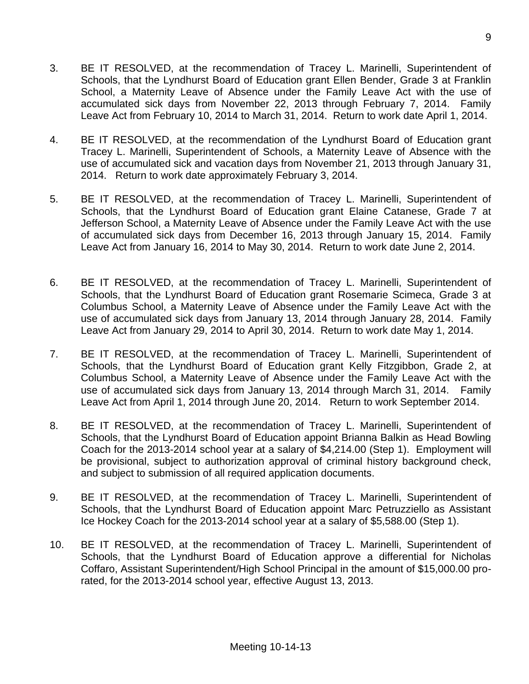- 3. BE IT RESOLVED, at the recommendation of Tracey L. Marinelli, Superintendent of Schools, that the Lyndhurst Board of Education grant Ellen Bender, Grade 3 at Franklin School, a Maternity Leave of Absence under the Family Leave Act with the use of accumulated sick days from November 22, 2013 through February 7, 2014. Family Leave Act from February 10, 2014 to March 31, 2014. Return to work date April 1, 2014.
- 4. BE IT RESOLVED, at the recommendation of the Lyndhurst Board of Education grant Tracey L. Marinelli, Superintendent of Schools, a Maternity Leave of Absence with the use of accumulated sick and vacation days from November 21, 2013 through January 31, 2014. Return to work date approximately February 3, 2014.
- 5. BE IT RESOLVED, at the recommendation of Tracey L. Marinelli, Superintendent of Schools, that the Lyndhurst Board of Education grant Elaine Catanese, Grade 7 at Jefferson School, a Maternity Leave of Absence under the Family Leave Act with the use of accumulated sick days from December 16, 2013 through January 15, 2014. Family Leave Act from January 16, 2014 to May 30, 2014. Return to work date June 2, 2014.
- 6. BE IT RESOLVED, at the recommendation of Tracey L. Marinelli, Superintendent of Schools, that the Lyndhurst Board of Education grant Rosemarie Scimeca, Grade 3 at Columbus School, a Maternity Leave of Absence under the Family Leave Act with the use of accumulated sick days from January 13, 2014 through January 28, 2014. Family Leave Act from January 29, 2014 to April 30, 2014. Return to work date May 1, 2014.
- 7. BE IT RESOLVED, at the recommendation of Tracey L. Marinelli, Superintendent of Schools, that the Lyndhurst Board of Education grant Kelly Fitzgibbon, Grade 2, at Columbus School, a Maternity Leave of Absence under the Family Leave Act with the use of accumulated sick days from January 13, 2014 through March 31, 2014. Family Leave Act from April 1, 2014 through June 20, 2014. Return to work September 2014.
- 8. BE IT RESOLVED, at the recommendation of Tracey L. Marinelli, Superintendent of Schools, that the Lyndhurst Board of Education appoint Brianna Balkin as Head Bowling Coach for the 2013-2014 school year at a salary of \$4,214.00 (Step 1). Employment will be provisional, subject to authorization approval of criminal history background check, and subject to submission of all required application documents.
- 9. BE IT RESOLVED, at the recommendation of Tracey L. Marinelli, Superintendent of Schools, that the Lyndhurst Board of Education appoint Marc Petruzziello as Assistant Ice Hockey Coach for the 2013-2014 school year at a salary of \$5,588.00 (Step 1).
- 10. BE IT RESOLVED, at the recommendation of Tracey L. Marinelli, Superintendent of Schools, that the Lyndhurst Board of Education approve a differential for Nicholas Coffaro, Assistant Superintendent/High School Principal in the amount of \$15,000.00 prorated, for the 2013-2014 school year, effective August 13, 2013.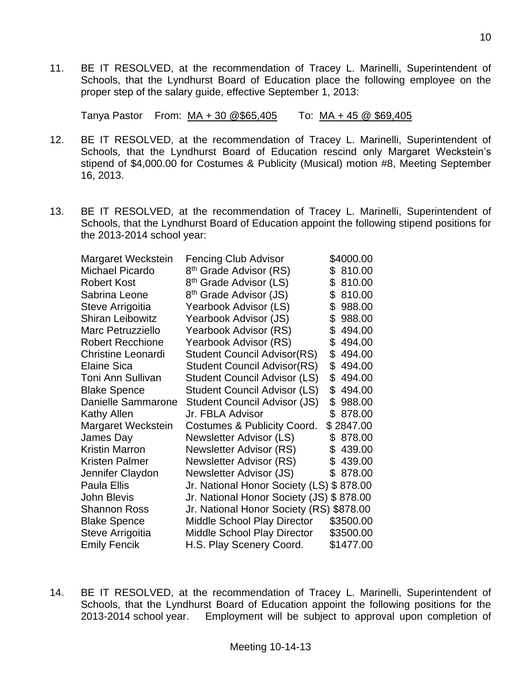11. BE IT RESOLVED, at the recommendation of Tracey L. Marinelli, Superintendent of Schools, that the Lyndhurst Board of Education place the following employee on the proper step of the salary guide, effective September 1, 2013:

Tanya Pastor From: MA + 30 @\$65,405 To: MA + 45 @ \$69,405

- 12. BE IT RESOLVED, at the recommendation of Tracey L. Marinelli, Superintendent of Schools, that the Lyndhurst Board of Education rescind only Margaret Weckstein's stipend of \$4,000.00 for Costumes & Publicity (Musical) motion #8, Meeting September 16, 2013.
- 13. BE IT RESOLVED, at the recommendation of Tracey L. Marinelli, Superintendent of Schools, that the Lyndhurst Board of Education appoint the following stipend positions for the 2013-2014 school year:

| Margaret Weckstein        | <b>Fencing Club Advisor</b>              | \$4000.00    |
|---------------------------|------------------------------------------|--------------|
| <b>Michael Picardo</b>    | 8 <sup>th</sup> Grade Advisor (RS)       | 810.00<br>\$ |
| <b>Robert Kost</b>        | 8 <sup>th</sup> Grade Advisor (LS)       | \$<br>810.00 |
| Sabrina Leone             | 8 <sup>th</sup> Grade Advisor (JS)       | \$<br>810.00 |
| Steve Arrigoitia          | Yearbook Advisor (LS)                    | \$<br>988.00 |
| <b>Shiran Leibowitz</b>   | Yearbook Advisor (JS)                    | \$<br>988.00 |
| <b>Marc Petruzziello</b>  | Yearbook Advisor (RS)                    | \$<br>494.00 |
| <b>Robert Recchione</b>   | Yearbook Advisor (RS)                    | 494.00<br>\$ |
| <b>Christine Leonardi</b> | <b>Student Council Advisor(RS)</b>       | \$<br>494.00 |
| <b>Elaine Sica</b>        | <b>Student Council Advisor(RS)</b>       | \$<br>494.00 |
| Toni Ann Sullivan         | <b>Student Council Advisor (LS)</b>      | \$<br>494.00 |
| <b>Blake Spence</b>       | <b>Student Council Advisor (LS)</b>      | \$<br>494.00 |
| <b>Danielle Sammarone</b> | <b>Student Council Advisor (JS)</b>      | \$<br>988.00 |
| <b>Kathy Allen</b>        | Jr. FBLA Advisor                         | \$<br>878.00 |
| Margaret Weckstein        | Costumes & Publicity Coord.              | \$2847.00    |
| James Day                 | Newsletter Advisor (LS)                  | \$<br>878.00 |
| <b>Kristin Marron</b>     | Newsletter Advisor (RS)                  | \$<br>439.00 |
| <b>Kristen Palmer</b>     | Newsletter Advisor (RS)                  | \$<br>439.00 |
| Jennifer Claydon          | Newsletter Advisor (JS)                  | \$<br>878.00 |
| <b>Paula Ellis</b>        | Jr. National Honor Society (LS)          | \$878.00     |
| <b>John Blevis</b>        | Jr. National Honor Society (JS) \$878.00 |              |
| <b>Shannon Ross</b>       | Jr. National Honor Society (RS) \$878.00 |              |
| <b>Blake Spence</b>       | <b>Middle School Play Director</b>       | \$3500.00    |
| Steve Arrigoitia          | <b>Middle School Play Director</b>       | \$3500.00    |
| <b>Emily Fencik</b>       | H.S. Play Scenery Coord.                 | \$1477.00    |

14. BE IT RESOLVED, at the recommendation of Tracey L. Marinelli, Superintendent of Schools, that the Lyndhurst Board of Education appoint the following positions for the 2013-2014 school year. Employment will be subject to approval upon completion of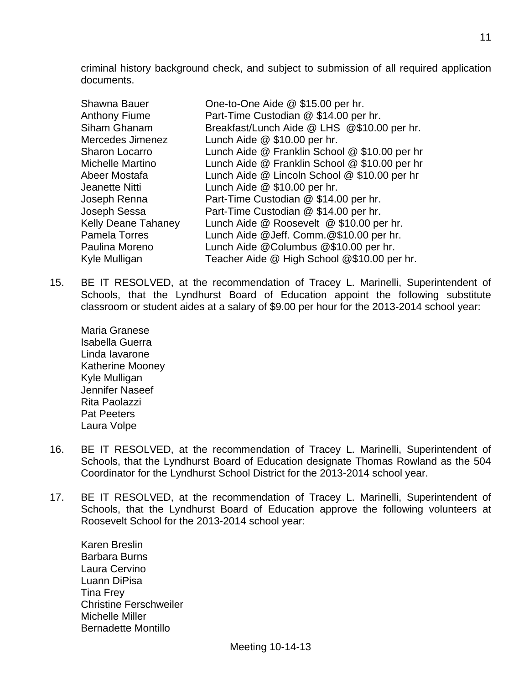criminal history background check, and subject to submission of all required application documents.

| <b>Shawna Bauer</b>        | One-to-One Aide @ \$15.00 per hr.             |
|----------------------------|-----------------------------------------------|
| <b>Anthony Fiume</b>       | Part-Time Custodian @ \$14.00 per hr.         |
| Siham Ghanam               | Breakfast/Lunch Aide @ LHS @\$10.00 per hr.   |
| Mercedes Jimenez           | Lunch Aide $@$ \$10.00 per hr.                |
| <b>Sharon Locarro</b>      | Lunch Aide @ Franklin School @ \$10.00 per hr |
| Michelle Martino           | Lunch Aide @ Franklin School @ \$10.00 per hr |
| Abeer Mostafa              | Lunch Aide @ Lincoln School @ \$10.00 per hr  |
| Jeanette Nitti             | Lunch Aide @ \$10.00 per hr.                  |
| Joseph Renna               | Part-Time Custodian @ \$14.00 per hr.         |
| Joseph Sessa               | Part-Time Custodian @ \$14.00 per hr.         |
| <b>Kelly Deane Tahaney</b> | Lunch Aide @ Roosevelt @ \$10.00 per hr.      |
| <b>Pamela Torres</b>       | Lunch Aide @Jeff. Comm.@\$10.00 per hr.       |
| Paulina Moreno             | Lunch Aide @Columbus @\$10.00 per hr.         |
| Kyle Mulligan              | Teacher Aide @ High School @\$10.00 per hr.   |

15. BE IT RESOLVED, at the recommendation of Tracey L. Marinelli, Superintendent of Schools, that the Lyndhurst Board of Education appoint the following substitute classroom or student aides at a salary of \$9.00 per hour for the 2013-2014 school year:

Maria Granese Isabella Guerra Linda Iavarone Katherine Mooney Kyle Mulligan Jennifer Naseef Rita Paolazzi Pat Peeters Laura Volpe

- 16. BE IT RESOLVED, at the recommendation of Tracey L. Marinelli, Superintendent of Schools, that the Lyndhurst Board of Education designate Thomas Rowland as the 504 Coordinator for the Lyndhurst School District for the 2013-2014 school year.
- 17. BE IT RESOLVED, at the recommendation of Tracey L. Marinelli, Superintendent of Schools, that the Lyndhurst Board of Education approve the following volunteers at Roosevelt School for the 2013-2014 school year:

Karen Breslin Barbara Burns Laura Cervino Luann DiPisa Tina Frey Christine Ferschweiler Michelle Miller Bernadette Montillo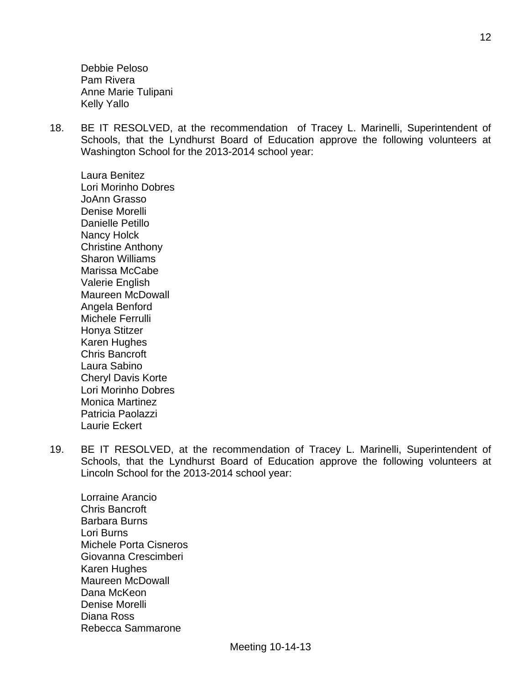Debbie Peloso Pam Rivera Anne Marie Tulipani Kelly Yallo

18. BE IT RESOLVED, at the recommendation of Tracey L. Marinelli, Superintendent of Schools, that the Lyndhurst Board of Education approve the following volunteers at Washington School for the 2013-2014 school year:

Laura Benitez Lori Morinho Dobres JoAnn Grasso Denise Morelli Danielle Petillo Nancy Holck Christine Anthony Sharon Williams Marissa McCabe Valerie English Maureen McDowall Angela Benford Michele Ferrulli Honya Stitzer Karen Hughes Chris Bancroft Laura Sabino Cheryl Davis Korte Lori Morinho Dobres Monica Martinez Patricia Paolazzi Laurie Eckert

19. BE IT RESOLVED, at the recommendation of Tracey L. Marinelli, Superintendent of Schools, that the Lyndhurst Board of Education approve the following volunteers at Lincoln School for the 2013-2014 school year:

Lorraine Arancio Chris Bancroft Barbara Burns Lori Burns Michele Porta Cisneros Giovanna Crescimberi Karen Hughes Maureen McDowall Dana McKeon Denise Morelli Diana Ross Rebecca Sammarone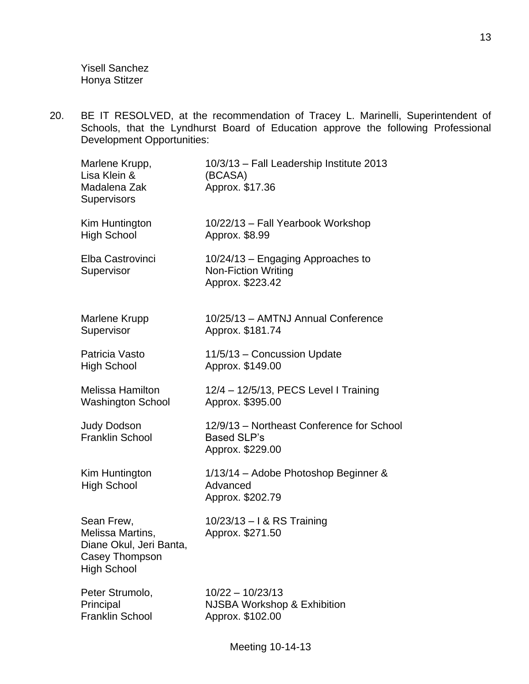Yisell Sanchez Honya Stitzer

20. BE IT RESOLVED, at the recommendation of Tracey L. Marinelli, Superintendent of Schools, that the Lyndhurst Board of Education approve the following Professional Development Opportunities:

| Marlene Krupp,<br>Lisa Klein &<br>Madalena Zak<br>Supervisors                                     | 10/3/13 - Fall Leadership Institute 2013<br>(BCASA)<br>Approx. \$17.36              |
|---------------------------------------------------------------------------------------------------|-------------------------------------------------------------------------------------|
| Kim Huntington<br><b>High School</b>                                                              | 10/22/13 - Fall Yearbook Workshop<br>Approx. \$8.99                                 |
| Elba Castrovinci<br>Supervisor                                                                    | 10/24/13 - Engaging Approaches to<br><b>Non-Fiction Writing</b><br>Approx. \$223.42 |
| Marlene Krupp<br>Supervisor                                                                       | 10/25/13 - AMTNJ Annual Conference<br>Approx. \$181.74                              |
| Patricia Vasto<br><b>High School</b>                                                              | 11/5/13 - Concussion Update<br>Approx. \$149.00                                     |
| <b>Melissa Hamilton</b><br><b>Washington School</b>                                               | 12/4 - 12/5/13, PECS Level I Training<br>Approx. \$395.00                           |
| <b>Judy Dodson</b><br><b>Franklin School</b>                                                      | 12/9/13 - Northeast Conference for School<br><b>Based SLP's</b><br>Approx. \$229.00 |
| Kim Huntington<br><b>High School</b>                                                              | 1/13/14 - Adobe Photoshop Beginner &<br>Advanced<br>Approx. \$202.79                |
| Sean Frew,<br>Melissa Martins,<br>Diane Okul, Jeri Banta,<br>Casey Thompson<br><b>High School</b> | 10/23/13 - I & RS Training<br>Approx. \$271.50                                      |
| Peter Strumolo,<br>Principal<br><b>Franklin School</b>                                            | $10/22 - 10/23/13$<br><b>NJSBA Workshop &amp; Exhibition</b><br>Approx. \$102.00    |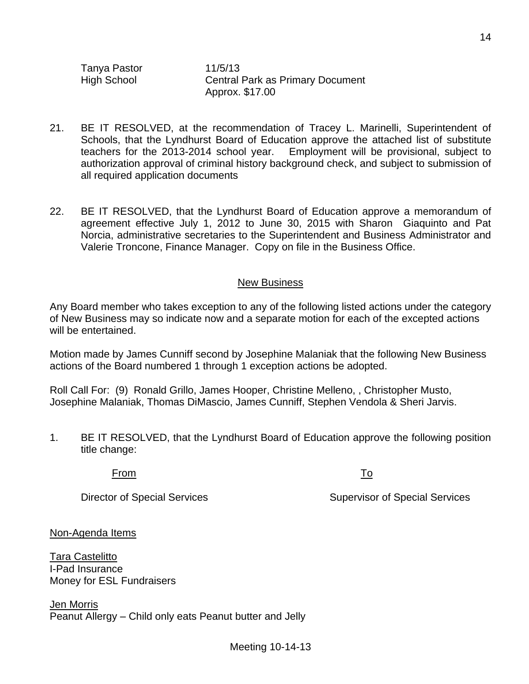Tanya Pastor 11/5/13

High School Central Park as Primary Document Approx. \$17.00

- 21. BE IT RESOLVED, at the recommendation of Tracey L. Marinelli, Superintendent of Schools, that the Lyndhurst Board of Education approve the attached list of substitute teachers for the 2013-2014 school year. Employment will be provisional, subject to authorization approval of criminal history background check, and subject to submission of all required application documents
- 22. BE IT RESOLVED, that the Lyndhurst Board of Education approve a memorandum of agreement effective July 1, 2012 to June 30, 2015 with Sharon Giaquinto and Pat Norcia, administrative secretaries to the Superintendent and Business Administrator and Valerie Troncone, Finance Manager. Copy on file in the Business Office.

#### New Business

Any Board member who takes exception to any of the following listed actions under the category of New Business may so indicate now and a separate motion for each of the excepted actions will be entertained.

Motion made by James Cunniff second by Josephine Malaniak that the following New Business actions of the Board numbered 1 through 1 exception actions be adopted.

Roll Call For: (9) Ronald Grillo, James Hooper, Christine Melleno, , Christopher Musto, Josephine Malaniak, Thomas DiMascio, James Cunniff, Stephen Vendola & Sheri Jarvis.

1. BE IT RESOLVED, that the Lyndhurst Board of Education approve the following position title change:

From To

Director of Special Services Supervisor of Special Services

Non-Agenda Items

Tara Castelitto I-Pad Insurance Money for ESL Fundraisers

Jen Morris Peanut Allergy – Child only eats Peanut butter and Jelly